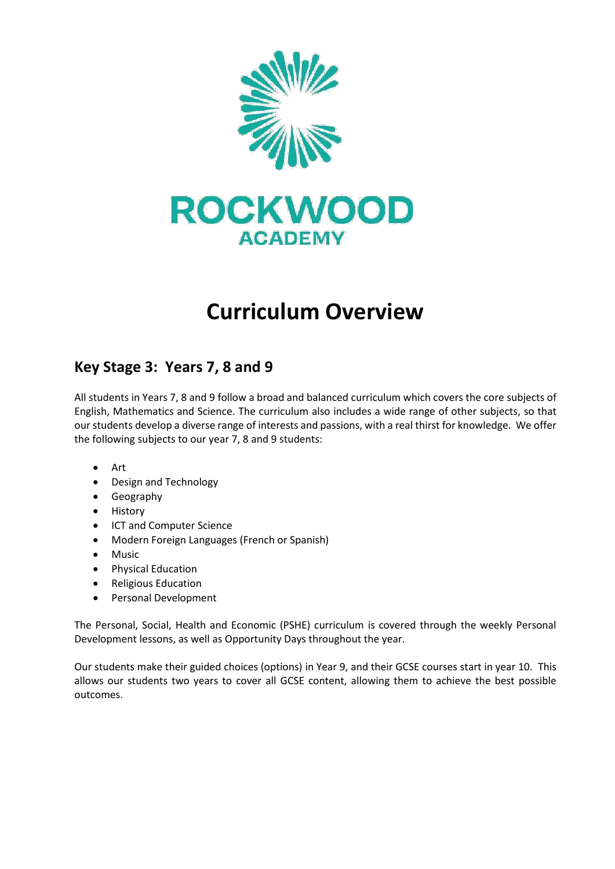

## **Curriculum Overview**

## **Key Stage 3: Years 7, 8 and 9**

All students in Years 7, 8 and 9 follow a broad and balanced curriculum which covers the core subjects of English, Mathematics and Science. The curriculum also includes a wide range of other subjects, so that our students develop a diverse range of interests and passions, with a real thirst for knowledge. We offer the following subjects to our year 7, 8 and 9 students:

- Art
- Design and Technology
- Geography
- History
- ICT and Computer Science
- Modern Foreign Languages (French or Spanish)
- Music
- Physical Education
- Religious Education
- Personal Development

The Personal, Social, Health and Economic (PSHE) curriculum is covered through the weekly Personal Development lessons, as well as Opportunity Days throughout the year.

Our students make their guided choices (options) in Year 9, and their GCSE courses start in year 10. This allows our students two years to cover all GCSE content, allowing them to achieve the best possible outcomes.